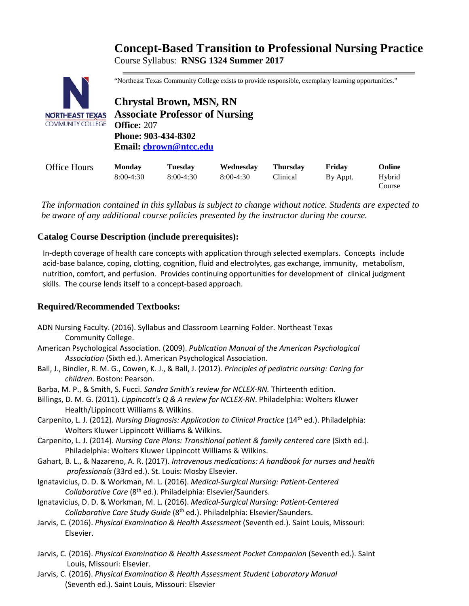# **Concept-Based Transition to Professional Nursing Practice** Course Syllabus: **RNSG 1324 Summer 2017**



"Northeast Texas Community College exists to provide responsible, exemplary learning opportunities."

**Chrystal Brown, MSN, RN Associate Professor of Nursing Office:** 207 **Phone: 903-434-8302 Email: [cbrown@ntcc.edu](mailto:cbrown@ntcc.edu)**

| <b>Office Hours</b> | <b>Monday</b> | <b>Tuesday</b> | Wednesday   | <b>Thursday</b> | Fridav   | <b>Online</b>    |
|---------------------|---------------|----------------|-------------|-----------------|----------|------------------|
|                     | $8:00-4:30$   | $8:00-4:30$    | $8:00-4:30$ | Clinical        | By Appt. | Hybrid<br>Course |

*The information contained in this syllabus is subject to change without notice. Students are expected to be aware of any additional course policies presented by the instructor during the course.*

### **Catalog Course Description (include prerequisites):**

In-depth coverage of health care concepts with application through selected exemplars. Concepts include acid-base balance, coping, clotting, cognition, fluid and electrolytes, gas exchange, immunity, metabolism, nutrition, comfort, and perfusion. Provides continuing opportunities for development of clinical judgment skills. The course lends itself to a concept-based approach.

### **Required/Recommended Textbooks:**

- ADN Nursing Faculty. (2016). Syllabus and Classroom Learning Folder. Northeast Texas Community College.
- American Psychological Association. (2009). *Publication Manual of the American Psychological Association* (Sixth ed.). American Psychological Association.
- Ball, J., Bindler, R. M. G., Cowen, K. J., & Ball, J. (2012). *Principles of pediatric nursing: Caring for children*. Boston: Pearson.
- Barba, M. P., & Smith, S. Fucci. *Sandra Smith's review for NCLEX-RN.* Thirteenth edition.
- Billings, D. M. G. (2011). *Lippincott's Q & A review for NCLEX-RN*. Philadelphia: Wolters Kluwer Health/Lippincott Williams & Wilkins.
- Carpenito, L. J. (2012). *Nursing Diagnosis: Application to Clinical Practice* (14<sup>th</sup> ed.). Philadelphia: Wolters Kluwer Lippincott Williams & Wilkins.
- Carpenito, L. J. (2014). *Nursing Care Plans: Transitional patient & family centered care* (Sixth ed.). Philadelphia: Wolters Kluwer Lippincott Williams & Wilkins.
- Gahart, B. L., & Nazareno, A. R. (2017). *Intravenous medications: A handbook for nurses and health professionals* (33rd ed.). St. Louis: Mosby Elsevier.
- Ignatavicius, D. D. & Workman, M. L. (2016). *Medical-Surgical Nursing: Patient-Centered Collaborative Care* (8th ed.). Philadelphia: Elsevier/Saunders.
- Ignatavicius, D. D. & Workman, M. L. (2016). *Medical-Surgical Nursing: Patient-Centered Collaborative Care Study Guide* (8th ed.). Philadelphia: Elsevier/Saunders.
- Jarvis, C. (2016). *Physical Examination & Health Assessment* (Seventh ed.). Saint Louis, Missouri: Elsevier.
- Jarvis, C. (2016). *Physical Examination & Health Assessment Pocket Companion* (Seventh ed.). Saint Louis, Missouri: Elsevier.
- Jarvis, C. (2016). *Physical Examination & Health Assessment Student Laboratory Manual*  (Seventh ed.). Saint Louis, Missouri: Elsevier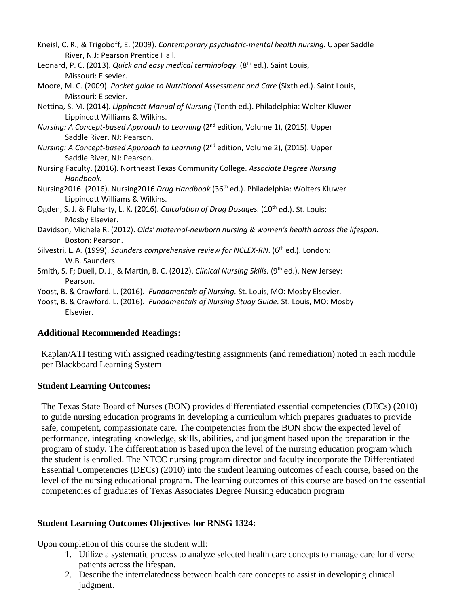- Kneisl, C. R., & Trigoboff, E. (2009). *Contemporary psychiatric-mental health nursing*. Upper Saddle River, N.J: Pearson Prentice Hall.
- Leonard, P. C. (2013). *Quick and easy medical terminology*. (8th ed.). Saint Louis, Missouri: Elsevier.
- Moore, M. C. (2009). *Pocket guide to Nutritional Assessment and Care* (Sixth ed.). Saint Louis, Missouri: Elsevier.
- Nettina, S. M. (2014). *Lippincott Manual of Nursing* (Tenth ed.). Philadelphia: Wolter Kluwer Lippincott Williams & Wilkins.
- *Nursing: A Concept-based Approach to Learning (2<sup>nd</sup> edition, Volume 1), (2015). Upper* Saddle River, NJ: Pearson.
- *Nursing: A Concept-based Approach to Learning (2<sup>nd</sup> edition, Volume 2), (2015). Upper* Saddle River, NJ: Pearson.
- Nursing Faculty. (2016). Northeast Texas Community College. *Associate Degree Nursing Handbook.*
- Nursing2016. (2016). Nursing2016 *Drug Handbook* (36th ed.). Philadelphia: Wolters Kluwer Lippincott Williams & Wilkins.
- Ogden, S. J. & Fluharty, L. K. (2016). *Calculation of Drug Dosages.* (10<sup>th</sup> ed.). St. Louis: Mosby Elsevier.
- Davidson, Michele R. (2012). *Olds' maternal-newborn nursing & women's health across the lifespan.*  Boston: Pearson.
- Silvestri, L. A. (1999). *Saunders comprehensive review for NCLEX-RN*. (6<sup>th</sup> ed.). London: W.B. Saunders.
- Smith, S. F; Duell, D. J., & Martin, B. C. (2012). *Clinical Nursing Skills.* (9th ed.). New Jersey: Pearson.
- Yoost, B. & Crawford. L. (2016). *Fundamentals of Nursing.* St. Louis, MO: Mosby Elsevier.
- Yoost, B. & Crawford. L. (2016). *Fundamentals of Nursing Study Guide.* St. Louis, MO: Mosby Elsevier.

### **Additional Recommended Readings:**

Kaplan/ATI testing with assigned reading/testing assignments (and remediation) noted in each module per Blackboard Learning System

### **Student Learning Outcomes:**

The Texas State Board of Nurses (BON) provides differentiated essential competencies (DECs) (2010) to guide nursing education programs in developing a curriculum which prepares graduates to provide safe, competent, compassionate care. The competencies from the BON show the expected level of performance, integrating knowledge, skills, abilities, and judgment based upon the preparation in the program of study. The differentiation is based upon the level of the nursing education program which the student is enrolled. The NTCC nursing program director and faculty incorporate the Differentiated Essential Competencies (DECs) (2010) into the student learning outcomes of each course, based on the level of the nursing educational program. The learning outcomes of this course are based on the essential competencies of graduates of Texas Associates Degree Nursing education program

## **Student Learning Outcomes Objectives for RNSG 1324:**

Upon completion of this course the student will:

- 1. Utilize a systematic process to analyze selected health care concepts to manage care for diverse patients across the lifespan.
- 2. Describe the interrelatedness between health care concepts to assist in developing clinical judgment.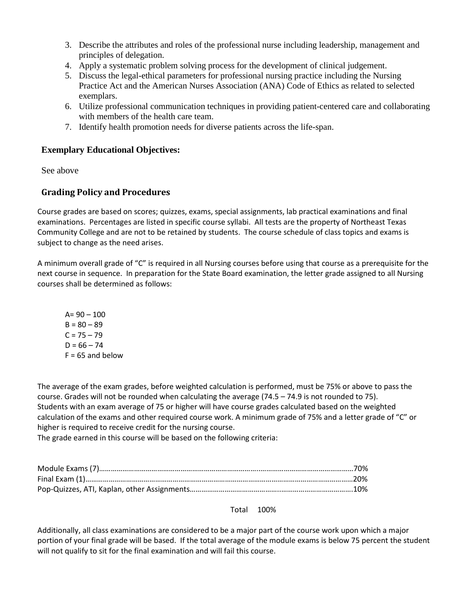- 3. Describe the attributes and roles of the professional nurse including leadership, management and principles of delegation.
- 4. Apply a systematic problem solving process for the development of clinical judgement.
- 5. Discuss the legal-ethical parameters for professional nursing practice including the Nursing Practice Act and the American Nurses Association (ANA) Code of Ethics as related to selected exemplars.
- 6. Utilize professional communication techniques in providing patient-centered care and collaborating with members of the health care team.
- 7. Identify health promotion needs for diverse patients across the life-span.

#### **Exemplary Educational Objectives:**

See above

### **Grading Policy and Procedures**

Course grades are based on scores; quizzes, exams, special assignments, lab practical examinations and final examinations. Percentages are listed in specific course syllabi. All tests are the property of Northeast Texas Community College and are not to be retained by students. The course schedule of class topics and exams is subject to change as the need arises.

A minimum overall grade of "C" is required in all Nursing courses before using that course as a prerequisite for the next course in sequence. In preparation for the State Board examination, the letter grade assigned to all Nursing courses shall be determined as follows:

 $A = 90 - 100$  $B = 80 - 89$  $C = 75 - 79$  $D = 66 - 74$  $F = 65$  and below

The average of the exam grades, before weighted calculation is performed, must be 75% or above to pass the course. Grades will not be rounded when calculating the average (74.5 – 74.9 is not rounded to 75). Students with an exam average of 75 or higher will have course grades calculated based on the weighted calculation of the exams and other required course work. A minimum grade of 75% and a letter grade of "C" or higher is required to receive credit for the nursing course.

The grade earned in this course will be based on the following criteria:

Total 100%

Additionally, all class examinations are considered to be a major part of the course work upon which a major portion of your final grade will be based. If the total average of the module exams is below 75 percent the student will not qualify to sit for the final examination and will fail this course.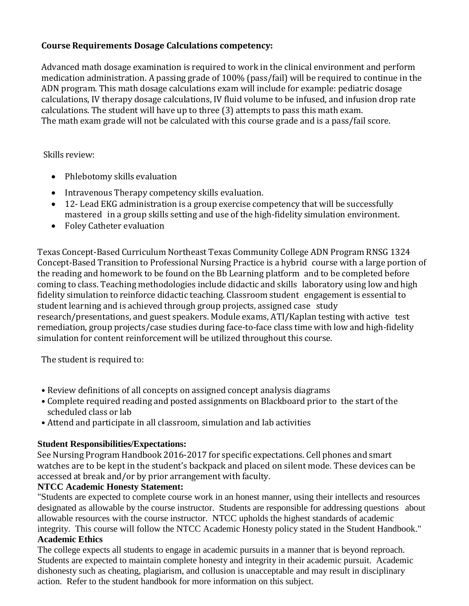### **Course Requirements Dosage Calculations competency:**

Advanced math dosage examination is required to work in the clinical environment and perform medication administration. A passing grade of 100% (pass/fail) will be required to continue in the ADN program. This math dosage calculations exam will include for example: pediatric dosage calculations, IV therapy dosage calculations, IV fluid volume to be infused, and infusion drop rate calculations. The student will have up to three (3) attempts to pass this math exam. The math exam grade will not be calculated with this course grade and is a pass/fail score.

### Skills review:

- Phlebotomy skills evaluation
- Intravenous Therapy competency skills evaluation.
- 12- Lead EKG administration is a group exercise competency that will be successfully mastered in a group skills setting and use of the high-fidelity simulation environment.
- Foley Catheter evaluation

Texas Concept-Based Curriculum Northeast Texas Community College ADN Program RNSG 1324 Concept-Based Transition to Professional Nursing Practice is a hybrid course with a large portion of the reading and homework to be found on the Bb Learning platform and to be completed before coming to class. Teaching methodologies include didactic and skills laboratory using low and high fidelity simulation to reinforce didactic teaching. Classroom student engagement is essential to student learning and is achieved through group projects, assigned case study research/presentations, and guest speakers. Module exams, ATI/Kaplan testing with active test remediation, group projects/case studies during face-to-face class time with low and high-fidelity simulation for content reinforcement will be utilized throughout this course.

The student is required to:

- Review definitions of all concepts on assigned concept analysis diagrams
- Complete required reading and posted assignments on Blackboard prior to the start of the scheduled class or lab
- Attend and participate in all classroom, simulation and lab activities

## **Student Responsibilities/Expectations:**

See Nursing Program Handbook 2016-2017 for specific expectations. Cell phones and smart watches are to be kept in the student's backpack and placed on silent mode. These devices can be accessed at break and/or by prior arrangement with faculty.

## **NTCC Academic Honesty Statement:**

"Students are expected to complete course work in an honest manner, using their intellects and resources designated as allowable by the course instructor. Students are responsible for addressing questions about allowable resources with the course instructor. NTCC upholds the highest standards of academic integrity. This course will follow the NTCC Academic Honesty policy stated in the Student Handbook." **Academic Ethics**

The college expects all students to engage in academic pursuits in a manner that is beyond reproach. Students are expected to maintain complete honesty and integrity in their academic pursuit. Academic dishonesty such as cheating, plagiarism, and collusion is unacceptable and may result in disciplinary action. Refer to the student handbook for more information on this subject.